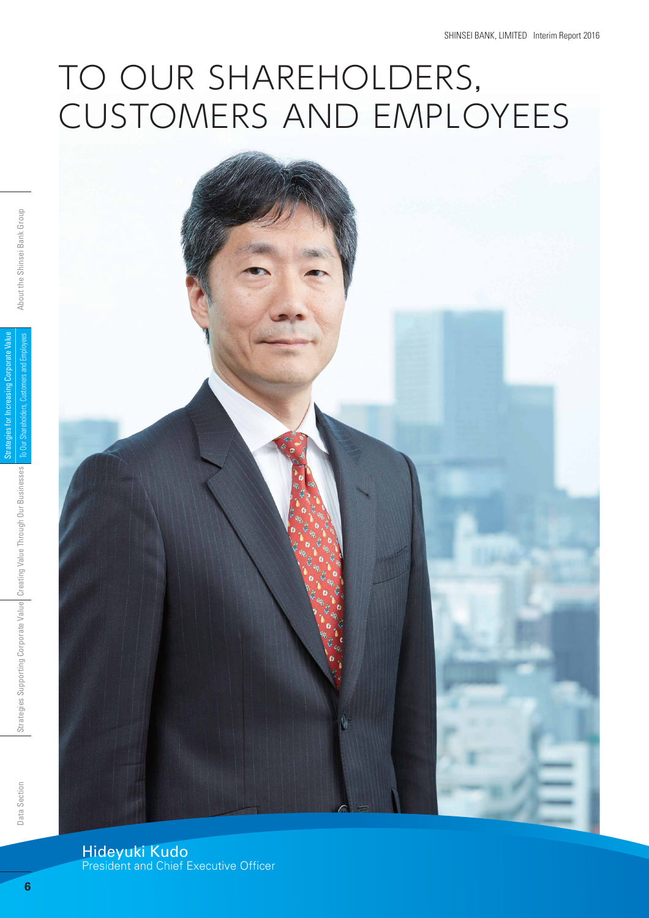# TO OUR SHAREHOLDERS, CUSTOMERS AND EMPLOYEES

Hideyuki Kudo President and Chief Executive Officer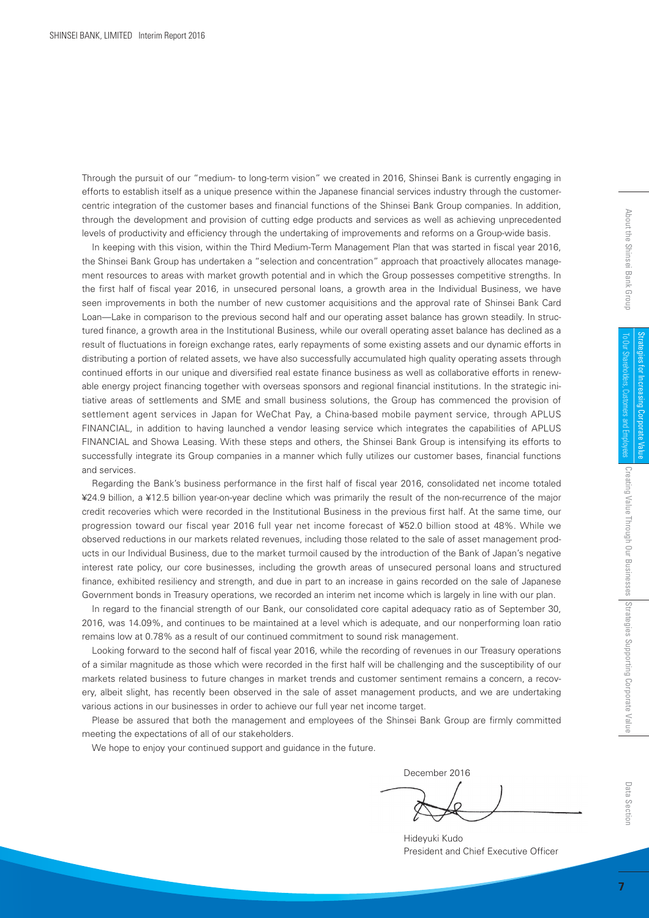SHINSEI BANK, LIMITED Interim Report 2016

Through the pursuit of our "medium- to long-term vision" we created in 2016, Shinsei Bank is currently engaging in efforts to establish itself as a unique presence within the Japanese financial services industry through the customercentric integration of the customer bases and financial functions of the Shinsei Bank Group companies. In addition, through the development and provision of cutting edge products and services as well as achieving unprecedented levels of productivity and efficiency through the undertaking of improvements and reforms on a Group-wide basis.

In keeping with this vision, within the Third Medium-Term Management Plan that was started in fiscal year 2016, the Shinsei Bank Group has undertaken a "selection and concentration" approach that proactively allocates management resources to areas with market growth potential and in which the Group possesses competitive strengths. In the first half of fiscal year 2016, in unsecured personal loans, a growth area in the Individual Business, we have seen improvements in both the number of new customer acquisitions and the approval rate of Shinsei Bank Card Loan—Lake in comparison to the previous second half and our operating asset balance has grown steadily. In structured finance, a growth area in the Institutional Business, while our overall operating asset balance has declined as a result of fluctuations in foreign exchange rates, early repayments of some existing assets and our dynamic efforts in distributing a portion of related assets, we have also successfully accumulated high quality operating assets through continued efforts in our unique and diversified real estate finance business as well as collaborative efforts in renewable energy project financing together with overseas sponsors and regional financial institutions. In the strategic initiative areas of settlements and SME and small business solutions, the Group has commenced the provision of settlement agent services in Japan for WeChat Pay, a China-based mobile payment service, through APLUS FINANCIAL, in addition to having launched a vendor leasing service which integrates the capabilities of APLUS FINANCIAL and Showa Leasing. With these steps and others, the Shinsei Bank Group is intensifying its efforts to successfully integrate its Group companies in a manner which fully utilizes our customer bases, financial functions and services.

Regarding the Bank's business performance in the first half of fiscal year 2016, consolidated net income totaled ¥24.9 billion, a ¥12.5 billion year-on-year decline which was primarily the result of the non-recurrence of the major credit recoveries which were recorded in the Institutional Business in the previous first half. At the same time, our progression toward our fiscal year 2016 full year net income forecast of ¥52.0 billion stood at 48%. While we observed reductions in our markets related revenues, including those related to the sale of asset management products in our Individual Business, due to the market turmoil caused by the introduction of the Bank of Japan's negative interest rate policy, our core businesses, including the growth areas of unsecured personal loans and structured finance, exhibited resiliency and strength, and due in part to an increase in gains recorded on the sale of Japanese Government bonds in Treasury operations, we recorded an interim net income which is largely in line with our plan.

In regard to the financial strength of our Bank, our consolidated core capital adequacy ratio as of September 30, 2016, was 14.09%, and continues to be maintained at a level which is adequate, and our nonperforming loan ratio remains low at 0.78% as a result of our continued commitment to sound risk management.

Looking forward to the second half of fiscal year 2016, while the recording of revenues in our Treasury operations of a similar magnitude as those which were recorded in the first half will be challenging and the susceptibility of our markets related business to future changes in market trends and customer sentiment remains a concern, a recovery, albeit slight, has recently been observed in the sale of asset management products, and we are undertaking various actions in our businesses in order to achieve our full year net income target.

Please be assured that both the management and employees of the Shinsei Bank Group are firmly committed meeting the expectations of all of our stakeholders.

We hope to enjoy your continued support and guidance in the future.

December 2016

Hideyuki Kudo President and Chief Executive Officer